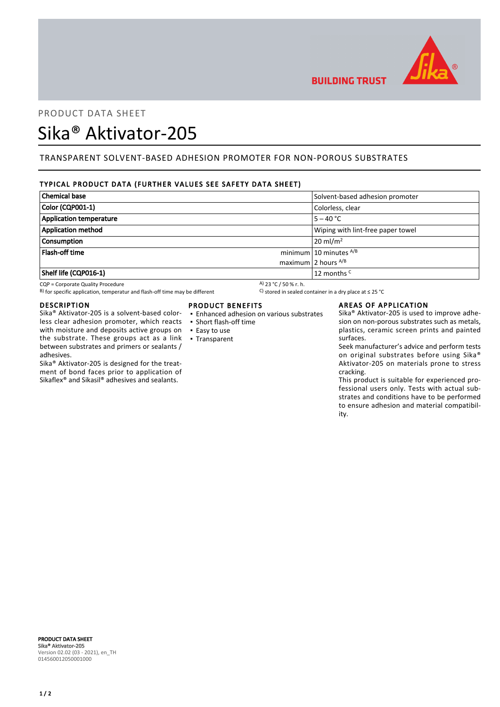

**BUILDING TRUST** 

## PRODUCT DATA SHEET

# Sika® Aktivator-205

## TRANSPARENT SOLVENT-BASED ADHESION PROMOTER FOR NON-POROUS SUBSTRATES

## TYPICAL PRODUCT DATA (FURTHER VALUES SEE SAFETY DATA SHEET)

| <b>Chemical base</b>           | Solvent-based adhesion promoter   |
|--------------------------------|-----------------------------------|
| Color (CQP001-1)               | Colorless, clear                  |
| <b>Application temperature</b> | $5 - 40 °C$                       |
| <b>Application method</b>      | Wiping with lint-free paper towel |
| <b>Consumption</b>             | $20 \text{ ml/m}^2$               |
| <b>Flash-off time</b>          | minimum 10 minutes $^{A/B}$       |
|                                | maximum 2 hours $^{A/B}$          |
| Shelf life (CQP016-1)          | 12 months <sup>C</sup>            |

CQP = Corporate Quality Procedure<br>
B) for specific application, temperatur and flash-off time may be different  $\begin{array}{c} \text{A)}$  23 °C / 50 % r. h.<br>
A) for specific application, temperatur and flash-off time may be different B) for specific application, temperatur and flash-off time may be different

## DESCRIPTION

Sika® Aktivator-205 is a solvent-based colorless clear adhesion promoter, which reacts with moisture and deposits active groups on the substrate. These groups act as a link between substrates and primers or sealants / adhesives.

Sika® Aktivator-205 is designed for the treatment of bond faces prior to application of Sikaflex® and Sikasil® adhesives and sealants.

## PRODUCT BENEFITS

- Enhanced adhesion on various substrates
- Short flash-off time
- Easy to use
- Transparent

## AREAS OF APPLICATION

Sika® Aktivator-205 is used to improve adhesion on non-porous substrates such as metals, plastics, ceramic screen prints and painted surfaces.

Seek manufacturer's advice and perform tests on original substrates before using Sika® Aktivator-205 on materials prone to stress cracking.

This product is suitable for experienced professional users only. Tests with actual substrates and conditions have to be performed to ensure adhesion and material compatibility.

PRODUCT DATA SHEET Sika® Aktivator-205 Version 02.02 (03 - 2021), en\_TH 014560012050001000